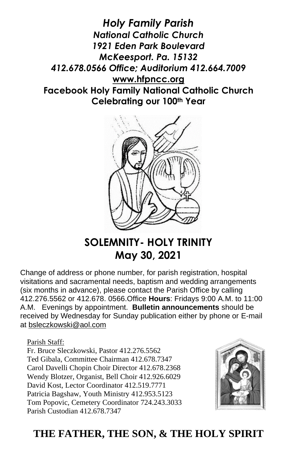*Holy Family Parish National Catholic Church 1921 Eden Park Boulevard McKeesport. Pa. 15132 412.678.0566 Office; Auditorium 412.664.7009* **[www.hfpncc.org](http://www.hfpncc.org/) Facebook Holy Family National Catholic Church Celebrating our 100th Year**



# **SOLEMNITY- HOLY TRINITY May 30, 2021**

Change of address or phone number, for parish registration, hospital visitations and sacramental needs, baptism and wedding arrangements (six months in advance), please contact the Parish Office by calling 412.276.5562 or 412.678. 0566.Office **Hours**: Fridays 9:00 A.M. to 11:00 A.M. Evenings by appointment. **Bulletin announcements** should be received by Wednesday for Sunday publication either by phone or E-mail at [bsleczkowski@aol.com](mailto:bsleczkowski@aol.com)

Parish Staff:

Fr. Bruce Sleczkowski, Pastor 412.276.5562 Ted Gibala, Committee Chairman 412.678.7347 Carol Davelli Chopin Choir Director 412.678.2368 Wendy Blotzer, Organist, Bell Choir 412.926.6029 David Kost, Lector Coordinator 412.519.7771 Patricia Bagshaw, Youth Ministry 412.953.5123 Tom Popovic, Cemetery Coordinator 724.243.3033 Parish Custodian 412.678.7347



## **THE FATHER, THE SON, & THE HOLY SPIRIT**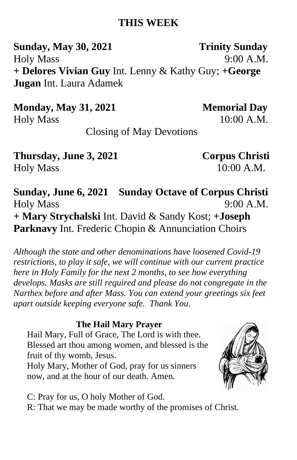### **THIS WEEK**

**Sunday, May 30, 2021** Trinity Sunday Holy Mass 9:00 A.M. **+ Delores Vivian Guy** Int. Lenny & Kathy Guy; **+George Jugan** Int. Laura Adamek

**Monday, May 31, 2021****Memorial Day** Holy Mass 10:00 A.M.

Closing of May Devotions

**Thursday, June 3, 2021 Corpus Christi** Holy Mass 10:00 A.M.

**Sunday, June 6, 2021 Sunday Octave of Corpus Christi**  Holy Mass 9:00 A.M. **+ Mary Strychalski** Int. David & Sandy Kost; **+Joseph Parknavy** Int. Frederic Chopin & Annunciation Choirs

*Although the state and other denominations have loosened Covid-19 restrictions, to play it safe, we will continue with our current practice here in Holy Family for the next 2 months, to see how everything develops. Masks are still required and please do not congregate in the Narthex before and after Mass. You can extend your greetings six feet apart outside keeping everyone safe. Thank You.*

#### **The Hail Mary Prayer**

Hail Mary, Full of Grace, The Lord is with thee. Blessed art thou among women, and blessed is the fruit of thy womb, Jesus.

Holy Mary, Mother of God, pray for us sinners now, and at the hour of our death. Amen.

C: Pray for us, O holy Mother of God. R: That we may be made worthy of the promises of Christ.